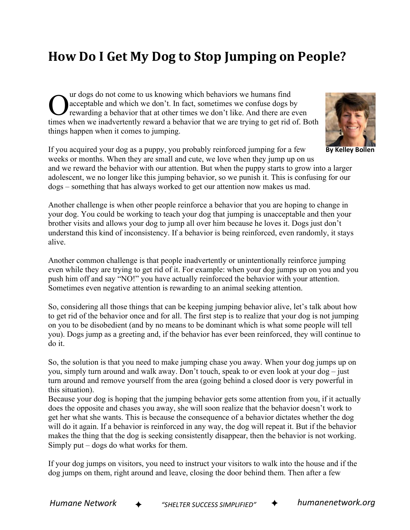## **How Do I Get My Dog to Stop Jumping on People?**

ur dogs do not come to us knowing which behaviors we humans find acceptable and which we don't. In fact, sometimes we confuse dogs by rewarding a behavior that at other times we don't like. And there are even Our dogs do not come to us knowing which behaviors we humans find<br>acceptable and which we don't. In fact, sometimes we confuse dogs by<br>rewarding a behavior that at other times we don't like. And there are even<br>times when w things happen when it comes to jumping.



and we reward the behavior with our attention. But when the puppy starts to grow into a larger adolescent, we no longer like this jumping behavior, so we punish it. This is confusing for our dogs – something that has always worked to get our attention now makes us mad.

Another challenge is when other people reinforce a behavior that you are hoping to change in your dog. You could be working to teach your dog that jumping is unacceptable and then your brother visits and allows your dog to jump all over him because he loves it. Dogs just don't understand this kind of inconsistency. If a behavior is being reinforced, even randomly, it stays alive.

Another common challenge is that people inadvertently or unintentionally reinforce jumping even while they are trying to get rid of it. For example: when your dog jumps up on you and you push him off and say "NO!" you have actually reinforced the behavior with your attention. Sometimes even negative attention is rewarding to an animal seeking attention.

So, considering all those things that can be keeping jumping behavior alive, let's talk about how to get rid of the behavior once and for all. The first step is to realize that your dog is not jumping on you to be disobedient (and by no means to be dominant which is what some people will tell you). Dogs jump as a greeting and, if the behavior has ever been reinforced, they will continue to do it.

So, the solution is that you need to make jumping chase you away. When your dog jumps up on you, simply turn around and walk away. Don't touch, speak to or even look at your dog – just turn around and remove yourself from the area (going behind a closed door is very powerful in this situation).

Because your dog is hoping that the jumping behavior gets some attention from you, if it actually does the opposite and chases you away, she will soon realize that the behavior doesn't work to get her what she wants. This is because the consequence of a behavior dictates whether the dog will do it again. If a behavior is reinforced in any way, the dog will repeat it. But if the behavior makes the thing that the dog is seeking consistently disappear, then the behavior is not working. Simply put – dogs do what works for them.

If your dog jumps on visitors, you need to instruct your visitors to walk into the house and if the dog jumps on them, right around and leave, closing the door behind them. Then after a few